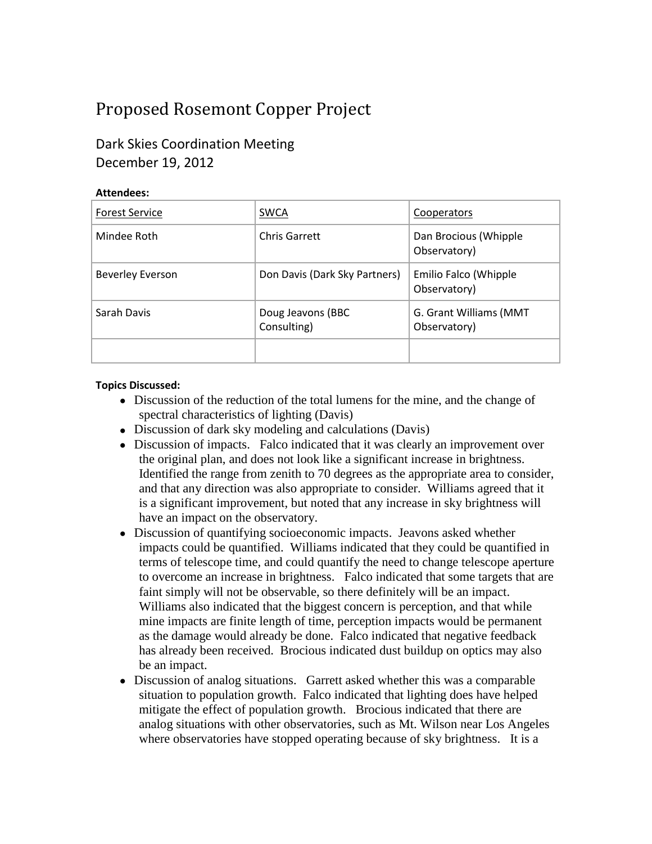# Proposed Rosemont Copper Project

# Dark Skies Coordination Meeting December 19, 2012

#### **Attendees:**

| <b>Forest Service</b>   | <b>SWCA</b>                      | Cooperators                            |
|-------------------------|----------------------------------|----------------------------------------|
| Mindee Roth             | Chris Garrett                    | Dan Brocious (Whipple<br>Observatory)  |
| <b>Beverley Everson</b> | Don Davis (Dark Sky Partners)    | Emilio Falco (Whipple<br>Observatory)  |
| Sarah Davis             | Doug Jeavons (BBC<br>Consulting) | G. Grant Williams (MMT<br>Observatory) |
|                         |                                  |                                        |

#### **Topics Discussed:**

- Discussion of the reduction of the total lumens for the mine, and the change of spectral characteristics of lighting (Davis)
- Discussion of dark sky modeling and calculations (Davis)
- Discussion of impacts. Falco indicated that it was clearly an improvement over the original plan, and does not look like a significant increase in brightness. Identified the range from zenith to 70 degrees as the appropriate area to consider, and that any direction was also appropriate to consider. Williams agreed that it is a significant improvement, but noted that any increase in sky brightness will have an impact on the observatory.
- Discussion of quantifying socioeconomic impacts. Jeavons asked whether impacts could be quantified. Williams indicated that they could be quantified in terms of telescope time, and could quantify the need to change telescope aperture to overcome an increase in brightness. Falco indicated that some targets that are faint simply will not be observable, so there definitely will be an impact. Williams also indicated that the biggest concern is perception, and that while mine impacts are finite length of time, perception impacts would be permanent as the damage would already be done. Falco indicated that negative feedback has already been received. Brocious indicated dust buildup on optics may also be an impact.
- Discussion of analog situations. Garrett asked whether this was a comparable situation to population growth. Falco indicated that lighting does have helped mitigate the effect of population growth. Brocious indicated that there are analog situations with other observatories, such as Mt. Wilson near Los Angeles where observatories have stopped operating because of sky brightness. It is a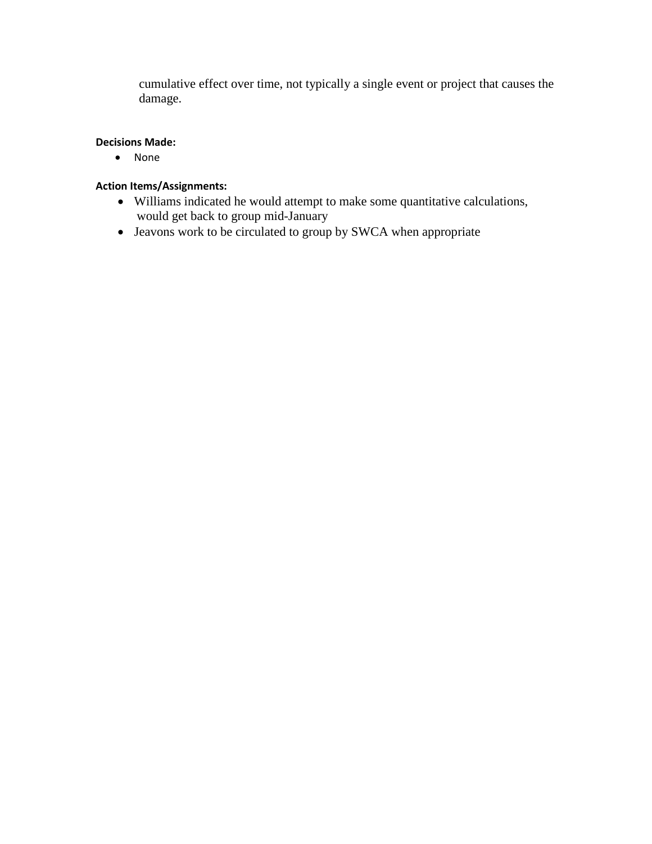cumulative effect over time, not typically a single event or project that causes the damage.

#### **Decisions Made:**

• None

### **Action Items/Assignments:**

- Williams indicated he would attempt to make some quantitative calculations, would get back to group mid-January
- Jeavons work to be circulated to group by SWCA when appropriate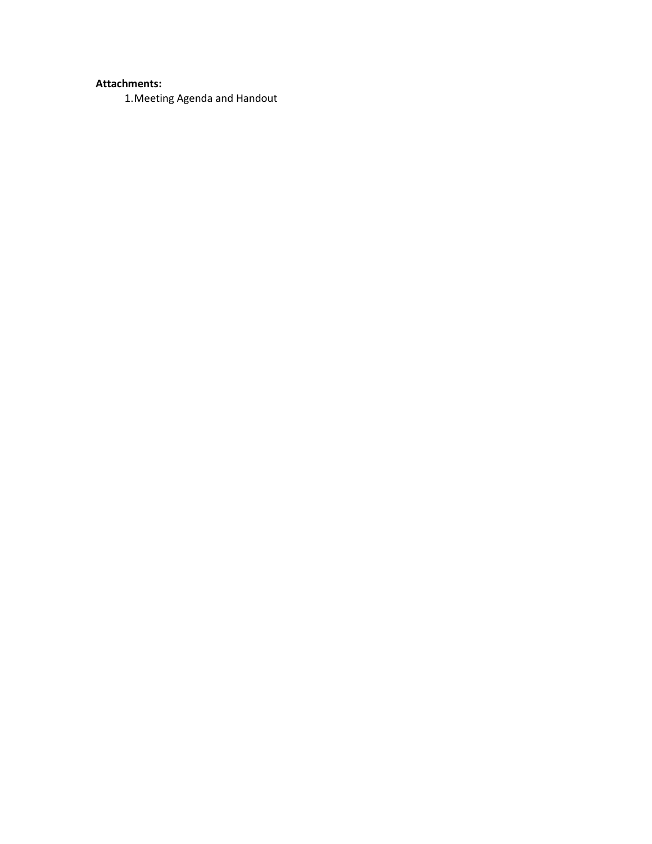## **Attachments:**

1.Meeting Agenda and Handout